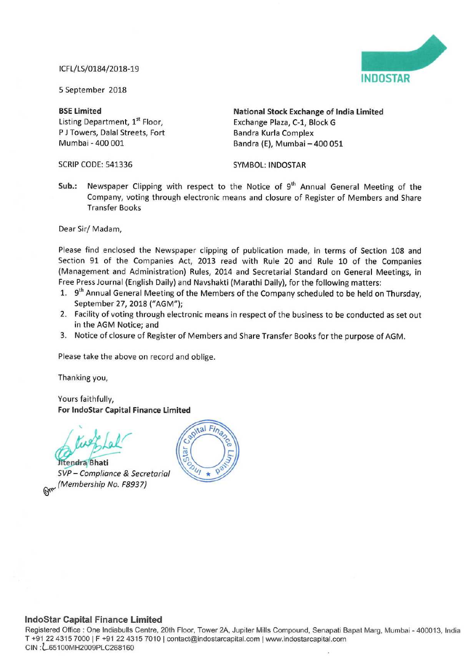## ICFL/LS/0184/2018-19



<sup>5</sup> September 2018

P J Towers, Dalal Streets, Fort Bandra Kurla Complex<br>Mumbai - 400 001 Bandra (E). Mumbai -

SCRIP CODE: 541336 SYMBOL: INDOSTAR

BSE Limited<br>
Listing Department, 1<sup>st</sup> Floor,<br>
Exchange Plaza, C-1, Block G<br>
Exchange Plaza, C-1, Block G Exchange Plaza, C-1, Block G Bandra (E), Mumbai - 400 051

Sub.: Newspaper Clipping with respect to the Notice of 9<sup>th</sup> Annual General Meeting of the Company, voting through electronic means and closure of Register of Members and Share Transfer Books

Dear Sir/ Madam,

Please find enclosed the Newspaper clipping of publication made, in terms of Section 108 and Section <sup>91</sup> of the Companies Act, 2013 read with Rule 20 and Rule <sup>10</sup> of the Companies (Management and Administration) Rules, 2014 and Secretarial Standard on General Meetings, in Free Press Journal (English Daily) and Navshakti (Marathi Daily), for the following matters:

- 1. 9<sup>th</sup> Annual General Meeting of the Members of the Company scheduled to be held on Thursday, September 27, 2018 ("AGM");
- 2. Facility of voting through electronic means in respect of the business to be conducted as set out in the AGM Notice; and
- 3. Notice of closure of Register of Members and Share Transfer Books for the purpose of AGM.

Please take the above on record and oblige.

Thanking you,

Yours faithfully, For Indostar Capital Finance Limited

/  $\ddot{\phantom{0}}$  $\text{Lal}$ 

Jitendra Bhati SVP— Compliance & Secretarial (Membership No. F8937)



## Indostar Capital Finance Limited

Registered Office : One Indiabulls Centre, 20th Floor, Tower 2A, Jupiter Mills Compound, Senapati Bapat Marg, Mumbai - 400013, India T +91 22 4315 7000 | F +91 22 4315 7010 | contact@indostarcapital.com | www.indostarcapital.com CIN 2L65100MH2009PLC268160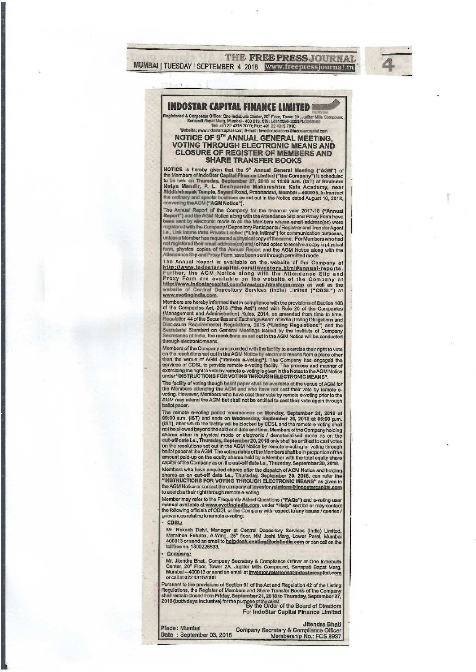**THE FREE PRESS JOURNAL** MUMBAI | TUESDAY | SEPTEMBER 4, 2018 | WWW.freepressjournalain

# **INDOSTAR CAPITAL FINANCE LIMITED**

legistered & Corporate Office: One Indiabulis Center, 20° Floor, Tower 2A, Jupiter Mills Corporate Office: One Indiabulis Center, 20° Floor, Tower 2A, Jupiter Mills Corporate Senageli Bapat Marg, Mumbai - 400 913, CIN: L65 Website: www.indostarc toital.com: E-m all: Investor.relations@Indestarcapital.com

#### NOTICE OF 9TH ANNUAL GENERAL MEETING. **VOTING THROUGH ELECTRONIC MEANS AND CLOSURE OF REGISTER OF MEMBERS AND SHARE TRANSFER BOOKS**

NOTICE is hereby given that the 9<sup>th</sup> Annual General Meeting ("AGM") of<br>the Members of IndoStar Capital Finance Limited ("the Company") is scheduled<br>to be held on Thursday, September 27, 2018 at 11:00 a.m. (IST) at Ravindr convening the AGM ("AGM Notice").

convening the AGM ("AGM Notice").<br>The Annual Report of the Company for the financial year 2017-18 ("Annual Report") and the AGM Notice along with the Attendance Slip and Proxy Form have<br>been sent by electronic mode to all

The Annual Report is available on the website of the Company at In a Annual New Angles are applied to the company at the Company and the Altendance Slip and Further, the AGM Notice along with the Attendance Slip and Proxy Form are available on the website of the Company at http://www.i www.evotingindia.com.

Members are hereby informed that in compliance with the provisions of Section 108 welling as the companies Act, 2013 ("the Act") read with Rule 20 of the Companies Act, 2013 ("the Act") read with Rule 20 of the Companies (Management and Administration) Rules, 2014, as amended from time to time, Regulati through electronic means

Members of the Company are provided with the facility to exercise their right to vote<br>on the resolutions set out in the AGM Notice by electronic means from a place other<br>than the venue of AGM ("remote a-voting"). The Compa

The facility of voting though ballot paper shall be available at the venue of AGM for the Members attending the AGM and who have not cast their vote by remote evoting. However, Members who have cast their vote by remote e-AGM may attend the AGM but shall not be entitled to cast their vote again through ballot paper.

ballotpaper.<br>
The remote e-voting period commences on Monday, September 24, 2018 at<br>
09:00 a.m. (IST) and ends on Wednesday, September 26, 2018 at 05:00 p.m.<br>
09:00 a.m. (IST) and ends on Wednesday, September 26, 2018 at 0 Members who have acquired shares after the dispatch of AGM Notice and holding<br>shares as on cut-off date i.e., Thursday, September 20, 2018, can refer the<br>"INSTRUCTIONS FOR VOTING THROUGH ELECTRONIC MEANS" as given in<br>the A

Member may refer to the Frequently Asked Questions ("FAQs") and e-voting user<br>manual available at www.evotingIndla.com, under "Help" section or may contact<br>the following officials of CDSL or the Company with respect to any

### CDSL:

Mr. Rakesh Dalvi, Manager at Central Depository Services (India) Limited,<br>Marathon Futurex, A-Wing, 25<sup>®</sup> floor, NM Joshi Marg, Lower Parel, Mumbai<br>400013 or send an email to helpdesk.evoting@cdslindla.com or can call on t toll free no. 1800225533.

Company:

Mr. Jitendra Bhati, Company Secretary & Compliance Officer at One Indiabulla<br>Center, 20<sup>th</sup> Floor, Tower 2A, Jupiter Mills Compound, Senapati Bapat Marg,<br>Mumbai – 400013 or send an email at <u>Investor.relations@Indostarcapi</u> or call at 022 43157000

Furthermore, the provisions of Section 91 of the Act and Regulation 42 of the Listing<br>Regulations, the Register of Members and Share Transfer Books of the Company<br>shall remain closed from Friday, September 21, 2018 to Thur

For IndoStar Capital Finance Limited

#### **Jitendra Bhati**

Place: Mumbai Company Secretary & Compliance Officer<br>Membership No.: FCS 8937 Date: September 03, 2018